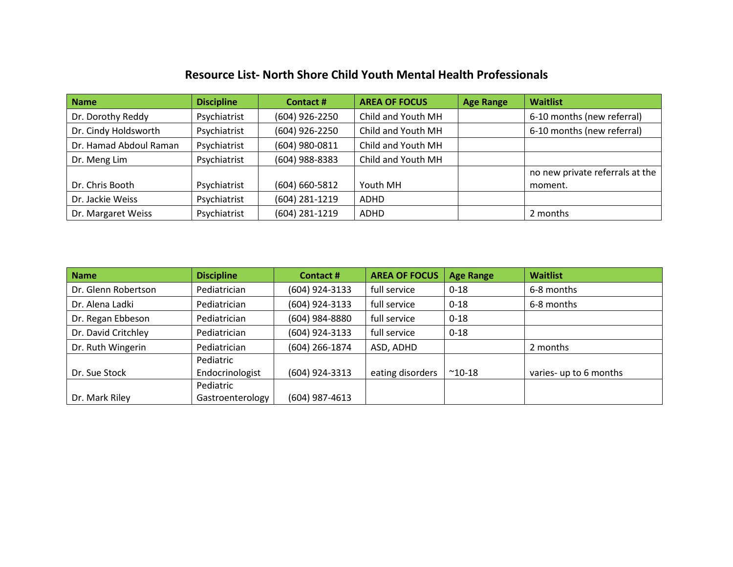## Resource List- North Shore Child Youth Mental Health Professionals

| <b>Name</b>            | <b>Discipline</b> | Contact #          | <b>AREA OF FOCUS</b> | <b>Age Range</b> | <b>Waitlist</b>                 |
|------------------------|-------------------|--------------------|----------------------|------------------|---------------------------------|
| Dr. Dorothy Reddy      | Psychiatrist      | (604) 926-2250     | Child and Youth MH   |                  | 6-10 months (new referral)      |
| Dr. Cindy Holdsworth   | Psychiatrist      | (604) 926-2250     | Child and Youth MH   |                  | 6-10 months (new referral)      |
| Dr. Hamad Abdoul Raman | Psychiatrist      | (604) 980-0811     | Child and Youth MH   |                  |                                 |
| Dr. Meng Lim           | Psychiatrist      | (604) 988-8383     | Child and Youth MH   |                  |                                 |
|                        |                   |                    |                      |                  | no new private referrals at the |
| Dr. Chris Booth        | Psychiatrist      | $(604) 660 - 5812$ | Youth MH             |                  | moment.                         |
| Dr. Jackie Weiss       | Psychiatrist      | (604) 281-1219     | <b>ADHD</b>          |                  |                                 |
| Dr. Margaret Weiss     | Psychiatrist      | (604) 281-1219     | ADHD                 |                  | 2 months                        |

| <b>Name</b>         | <b>Discipline</b> | <b>Contact#</b>  | <b>AREA OF FOCUS</b> | <b>Age Range</b> | <b>Waitlist</b>        |
|---------------------|-------------------|------------------|----------------------|------------------|------------------------|
| Dr. Glenn Robertson | Pediatrician      | (604) 924-3133   | full service         | $0 - 18$         | 6-8 months             |
| Dr. Alena Ladki     | Pediatrician      | (604) 924-3133   | full service         | $0 - 18$         | 6-8 months             |
| Dr. Regan Ebbeson   | Pediatrician      | (604) 984-8880   | full service         | $0 - 18$         |                        |
| Dr. David Critchley | Pediatrician      | (604) 924-3133   | full service         | $0 - 18$         |                        |
| Dr. Ruth Wingerin   | Pediatrician      | $(604)$ 266-1874 | ASD, ADHD            |                  | 2 months               |
|                     | Pediatric         |                  |                      |                  |                        |
| Dr. Sue Stock       | Endocrinologist   | (604) 924-3313   | eating disorders     | $^{\sim}$ 10-18  | varies- up to 6 months |
|                     | Pediatric         |                  |                      |                  |                        |
| Dr. Mark Riley      | Gastroenterology  | $(604)$ 987-4613 |                      |                  |                        |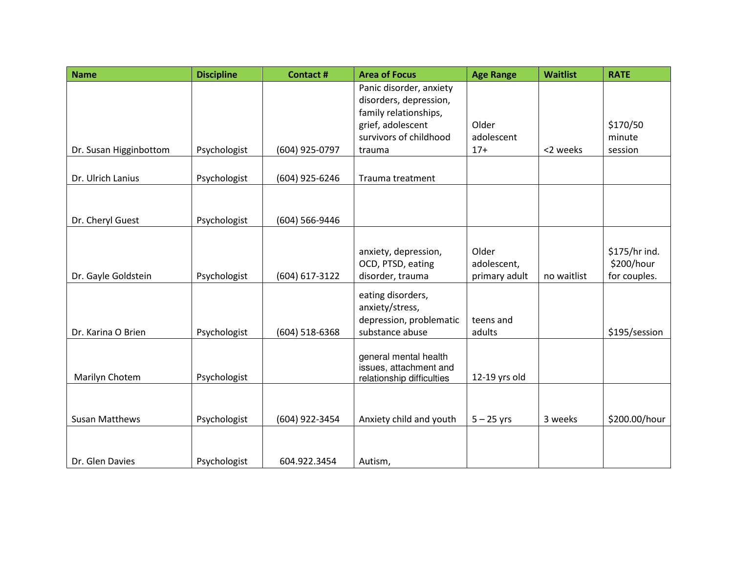| <b>Name</b>            | <b>Discipline</b> | <b>Contact#</b>  | <b>Area of Focus</b>      | <b>Age Range</b> | <b>Waitlist</b> | <b>RATE</b>   |
|------------------------|-------------------|------------------|---------------------------|------------------|-----------------|---------------|
|                        |                   |                  | Panic disorder, anxiety   |                  |                 |               |
|                        |                   |                  | disorders, depression,    |                  |                 |               |
|                        |                   |                  | family relationships,     |                  |                 |               |
|                        |                   |                  | grief, adolescent         | Older            |                 | \$170/50      |
|                        |                   |                  | survivors of childhood    | adolescent       |                 | minute        |
| Dr. Susan Higginbottom | Psychologist      | (604) 925-0797   | trauma                    | $17+$            | <2 weeks        | session       |
|                        |                   |                  |                           |                  |                 |               |
| Dr. Ulrich Lanius      | Psychologist      | (604) 925-6246   | Trauma treatment          |                  |                 |               |
|                        |                   |                  |                           |                  |                 |               |
|                        |                   |                  |                           |                  |                 |               |
| Dr. Cheryl Guest       | Psychologist      | (604) 566-9446   |                           |                  |                 |               |
|                        |                   |                  |                           |                  |                 |               |
|                        |                   |                  | anxiety, depression,      | Older            |                 | \$175/hr ind. |
|                        |                   |                  | OCD, PTSD, eating         | adolescent,      |                 | \$200/hour    |
| Dr. Gayle Goldstein    | Psychologist      | (604) 617-3122   | disorder, trauma          | primary adult    | no waitlist     | for couples.  |
|                        |                   |                  | eating disorders,         |                  |                 |               |
|                        |                   |                  | anxiety/stress,           |                  |                 |               |
|                        |                   |                  | depression, problematic   | teens and        |                 |               |
| Dr. Karina O Brien     | Psychologist      | $(604)$ 518-6368 | substance abuse           | adults           |                 | \$195/session |
|                        |                   |                  |                           |                  |                 |               |
|                        |                   |                  | general mental health     |                  |                 |               |
|                        |                   |                  | issues, attachment and    |                  |                 |               |
| Marilyn Chotem         | Psychologist      |                  | relationship difficulties | 12-19 yrs old    |                 |               |
|                        |                   |                  |                           |                  |                 |               |
|                        |                   |                  |                           |                  |                 |               |
| <b>Susan Matthews</b>  | Psychologist      | (604) 922-3454   | Anxiety child and youth   | $5 - 25$ yrs     | 3 weeks         | \$200.00/hour |
|                        |                   |                  |                           |                  |                 |               |
|                        |                   |                  |                           |                  |                 |               |
| Dr. Glen Davies        | Psychologist      | 604.922.3454     | Autism,                   |                  |                 |               |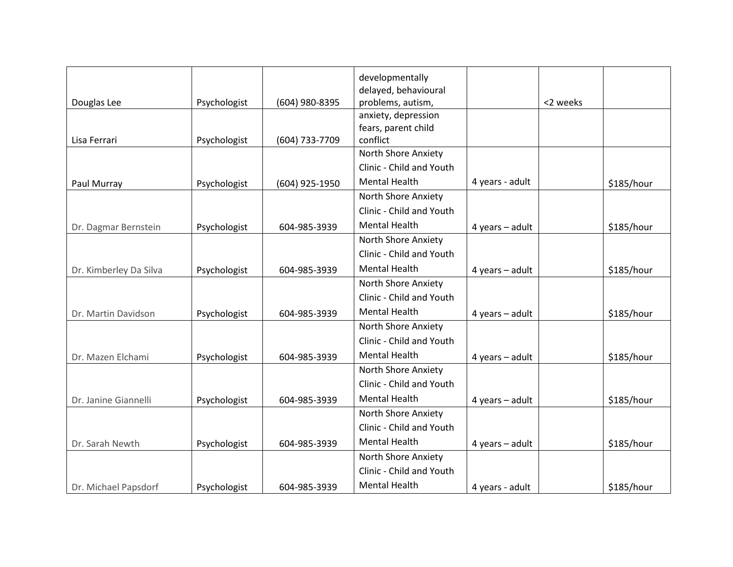|                        |              |                | developmentally          |                     |          |            |
|------------------------|--------------|----------------|--------------------------|---------------------|----------|------------|
|                        |              |                | delayed, behavioural     |                     |          |            |
| Douglas Lee            | Psychologist | (604) 980-8395 | problems, autism,        |                     | <2 weeks |            |
|                        |              |                | anxiety, depression      |                     |          |            |
|                        |              |                | fears, parent child      |                     |          |            |
| Lisa Ferrari           | Psychologist | (604) 733-7709 | conflict                 |                     |          |            |
|                        |              |                | North Shore Anxiety      |                     |          |            |
|                        |              |                | Clinic - Child and Youth |                     |          |            |
| Paul Murray            | Psychologist | (604) 925-1950 | <b>Mental Health</b>     | 4 years - adult     |          | \$185/hour |
|                        |              |                | North Shore Anxiety      |                     |          |            |
|                        |              |                | Clinic - Child and Youth |                     |          |            |
| Dr. Dagmar Bernstein   | Psychologist | 604-985-3939   | <b>Mental Health</b>     | $4$ years $-$ adult |          | \$185/hour |
|                        |              |                | North Shore Anxiety      |                     |          |            |
|                        |              |                | Clinic - Child and Youth |                     |          |            |
| Dr. Kimberley Da Silva | Psychologist | 604-985-3939   | <b>Mental Health</b>     | 4 years - adult     |          | \$185/hour |
|                        |              |                | North Shore Anxiety      |                     |          |            |
|                        |              |                | Clinic - Child and Youth |                     |          |            |
| Dr. Martin Davidson    | Psychologist | 604-985-3939   | <b>Mental Health</b>     | 4 years $-$ adult   |          | \$185/hour |
|                        |              |                | North Shore Anxiety      |                     |          |            |
|                        |              |                | Clinic - Child and Youth |                     |          |            |
| Dr. Mazen Elchami      | Psychologist | 604-985-3939   | <b>Mental Health</b>     | $4$ years $-$ adult |          | \$185/hour |
|                        |              |                | North Shore Anxiety      |                     |          |            |
|                        |              |                | Clinic - Child and Youth |                     |          |            |
| Dr. Janine Giannelli   | Psychologist | 604-985-3939   | <b>Mental Health</b>     | 4 years - adult     |          | \$185/hour |
|                        |              |                | North Shore Anxiety      |                     |          |            |
|                        |              |                | Clinic - Child and Youth |                     |          |            |
| Dr. Sarah Newth        | Psychologist | 604-985-3939   | <b>Mental Health</b>     | $4$ years $-$ adult |          | \$185/hour |
|                        |              |                | North Shore Anxiety      |                     |          |            |
|                        |              |                | Clinic - Child and Youth |                     |          |            |
| Dr. Michael Papsdorf   | Psychologist | 604-985-3939   | <b>Mental Health</b>     | 4 years - adult     |          | \$185/hour |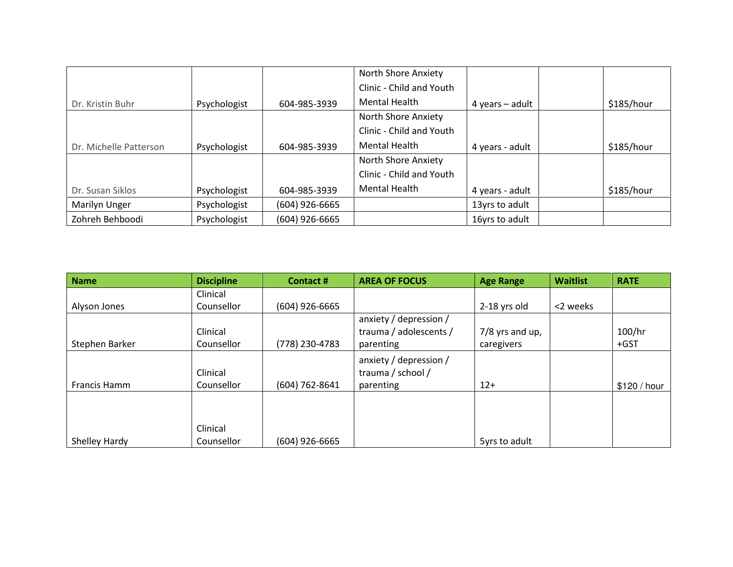|                        |              |                  | North Shore Anxiety      |                   |            |
|------------------------|--------------|------------------|--------------------------|-------------------|------------|
|                        |              |                  | Clinic - Child and Youth |                   |            |
| Dr. Kristin Buhr       | Psychologist | 604-985-3939     | <b>Mental Health</b>     | 4 years $-$ adult | \$185/hour |
|                        |              |                  | North Shore Anxiety      |                   |            |
|                        |              |                  | Clinic - Child and Youth |                   |            |
| Dr. Michelle Patterson | Psychologist | 604-985-3939     | <b>Mental Health</b>     | 4 years - adult   | \$185/hour |
|                        |              |                  | North Shore Anxiety      |                   |            |
|                        |              |                  | Clinic - Child and Youth |                   |            |
| Dr. Susan Siklos       | Psychologist | 604-985-3939     | <b>Mental Health</b>     | 4 years - adult   | \$185/hour |
| Marilyn Unger          | Psychologist | (604) 926-6665   |                          | 13yrs to adult    |            |
| Zohreh Behboodi        | Psychologist | $(604)$ 926-6665 |                          | 16yrs to adult    |            |

| <b>Name</b>    | <b>Discipline</b> | <b>Contact#</b>  | <b>AREA OF FOCUS</b>   | <b>Age Range</b>  | <b>Waitlist</b> | <b>RATE</b>  |
|----------------|-------------------|------------------|------------------------|-------------------|-----------------|--------------|
|                | Clinical          |                  |                        |                   |                 |              |
| Alyson Jones   | Counsellor        | $(604)$ 926-6665 |                        | 2-18 yrs old      | <2 weeks        |              |
|                |                   |                  | anxiety / depression / |                   |                 |              |
|                | Clinical          |                  | trauma / adolescents / | $7/8$ yrs and up, |                 | 100/hr       |
| Stephen Barker | Counsellor        | (778) 230-4783   | parenting              | caregivers        |                 | $+GST$       |
|                |                   |                  | anxiety / depression / |                   |                 |              |
|                | Clinical          |                  | trauma / school /      |                   |                 |              |
| Francis Hamm   | Counsellor        | (604) 762-8641   | parenting              | $12+$             |                 | \$120 / hour |
|                |                   |                  |                        |                   |                 |              |
|                |                   |                  |                        |                   |                 |              |
|                | Clinical          |                  |                        |                   |                 |              |
| Shelley Hardy  | Counsellor        | $(604)$ 926-6665 |                        | 5yrs to adult     |                 |              |